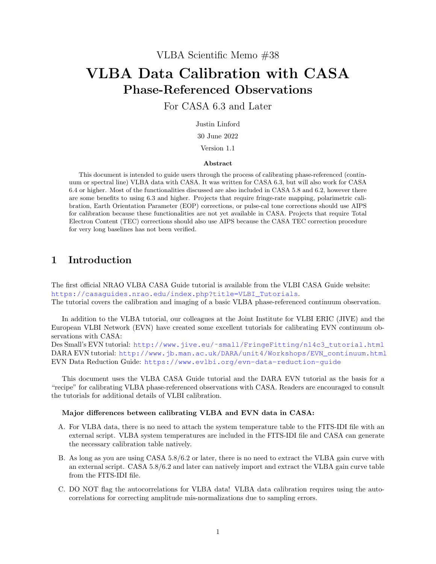# VLBA Data Calibration with CASA Phase-Referenced Observations

## For CASA 6.3 and Later

Justin Linford

30 June 2022

Version 1.1

#### Abstract

This document is intended to guide users through the process of calibrating phase-referenced (continuum or spectral line) VLBA data with CASA. It was written for CASA 6.3, but will also work for CASA 6.4 or higher. Most of the functionalities discussed are also included in CASA 5.8 and 6.2, however there are some benefits to using 6.3 and higher. Projects that require fringe-rate mapping, polarimetric calibration, Earth Orientation Parameter (EOP) corrections, or pulse-cal tone corrections should use AIPS for calibration because these functionalities are not yet available in CASA. Projects that require Total Electron Content (TEC) corrections should also use AIPS because the CASA TEC correction procedure for very long baselines has not been verified.

## <span id="page-0-0"></span>1 Introduction

The first official NRAO VLBA CASA Guide tutorial is available from the VLBI CASA Guide website: [https://casaguides.nrao.edu/index.php?title=VLBI\\_Tutorials](https://casaguides.nrao.edu/index.php?title=VLBI_Tutorials). The tutorial covers the calibration and imaging of a basic VLBA phase-referenced continuum observation.

In addition to the VLBA tutorial, our colleagues at the Joint Institute for VLBI ERIC (JIVE) and the European VLBI Network (EVN) have created some excellent tutorials for calibrating EVN continuum observations with CASA:

Des Small's EVN tutorial: [http://www.jive.eu/˜small/FringeFitting/n14c3\\_tutorial.html](http://www.jive.eu/~small/FringeFitting/n14c3_tutorial.html) DARA EVN tutorial: [http://www.jb.man.ac.uk/DARA/unit4/Workshops/EVN\\_continuum.html](http://www.jb.man.ac.uk/DARA/unit4/Workshops/EVN_continuum.html) EVN Data Reduction Guide: <https://www.evlbi.org/evn-data-reduction-guide>

This document uses the VLBA CASA Guide tutorial and the DARA EVN tutorial as the basis for a "recipe" for calibrating VLBA phase-referenced observations with CASA. Readers are encouraged to consult the tutorials for additional details of VLBI calibration.

#### Major differences between calibrating VLBA and EVN data in CASA:

- A. For VLBA data, there is no need to attach the system temperature table to the FITS-IDI file with an external script. VLBA system temperatures are included in the FITS-IDI file and CASA can generate the necessary calibration table natively.
- B. As long as you are using CASA 5.8/6.2 or later, there is no need to extract the VLBA gain curve with an external script. CASA 5.8/6.2 and later can natively import and extract the VLBA gain curve table from the FITS-IDI file.
- C. DO NOT flag the autocorrelations for VLBA data! VLBA data calibration requires using the autocorrelations for correcting amplitude mis-normalizations due to sampling errors.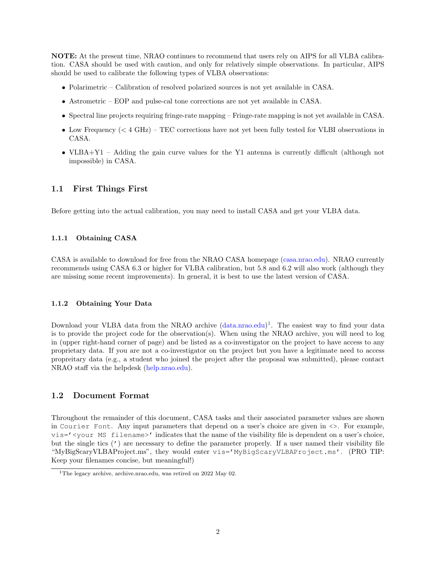NOTE: At the present time, NRAO continues to recommend that users rely on AIPS for all VLBA calibration. CASA should be used with caution, and only for relatively simple observations. In particular, AIPS should be used to calibrate the following types of VLBA observations:

- Polarimetric Calibration of resolved polarized sources is not yet available in CASA.
- Astrometric EOP and pulse-cal tone corrections are not yet available in CASA.
- Spectral line projects requiring fringe-rate mapping Fringe-rate mapping is not yet available in CASA.
- Low Frequency (< 4 GHz) TEC corrections have not yet been fully tested for VLBI observations in CASA.
- VLBA+Y1 Adding the gain curve values for the Y1 antenna is currently difficult (although not impossible) in CASA.

## 1.1 First Things First

Before getting into the actual calibration, you may need to install CASA and get your VLBA data.

#### 1.1.1 Obtaining CASA

CASA is available to download for free from the NRAO CASA homepage [\(casa.nrao.edu\)](https://casa.nrao.edu/casa_obtaining.shtml). NRAO currently recommends using CASA 6.3 or higher for VLBA calibration, but 5.8 and 6.2 will also work (although they are missing some recent improvements). In general, it is best to use the latest version of CASA.

#### <span id="page-1-1"></span>1.1.2 Obtaining Your Data

Download your VLBA data from the NRAO archive  $(data.nrao.edu)^1$  $(data.nrao.edu)^1$  $(data.nrao.edu)^1$ . The easiest way to find your data is to provide the project code for the observation(s). When using the NRAO archive, you will need to log in (upper right-hand corner of page) and be listed as a co-investigator on the project to have access to any proprietary data. If you are not a co-investigator on the project but you have a legitimate need to access propreitary data (e.g., a student who joined the project after the proposal was submitted), please contact NRAO staff via the helpdesk [\(help.nrao.edu\)](https://help.nrao.edu).

## 1.2 Document Format

Throughout the remainder of this document, CASA tasks and their associated parameter values are shown in Courier Font. Any input parameters that depend on a user's choice are given in  $\langle \rangle$ . For example, vis='<your MS filename>' indicates that the name of the visibility file is dependent on a user's choice, but the single tics (') are necessary to define the parameter properly. If a user named their visibility file "MyBigScaryVLBAProject.ms", they would enter vis='MyBigScaryVLBAProject.ms'. (PRO TIP: Keep your filenames concise, but meaningful!)

<span id="page-1-0"></span><sup>&</sup>lt;sup>1</sup>The legacy archive, archive.nrao.edu, was retired on 2022 May 02.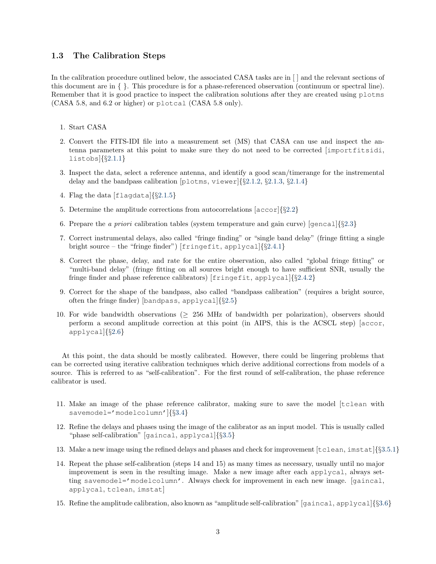#### 1.3 The Calibration Steps

In the calibration procedure outlined below, the associated CASA tasks are in [ ] and the relevant sections of this document are in { }. This procedure is for a phase-referenced observation (continuum or spectral line). Remember that it is good practice to inspect the calibration solutions after they are created using plotms (CASA 5.8, and 6.2 or higher) or plotcal (CASA 5.8 only).

- 1. Start CASA
- 2. Convert the FITS-IDI file into a measurement set (MS) that CASA can use and inspect the antenna parameters at this point to make sure they do not need to be corrected [importfitsidi, listobs]{§[2.1.1](#page-5-0)}
- 3. Inspect the data, select a reference antenna, and identify a good scan/timerange for the instremental delay and the bandpass calibration [plotms, viewer]{§[2.1.2,](#page-5-1) §[2.1.3,](#page-6-0) §[2.1.4](#page-7-0)}
- 4. Flag the data  $[f\text{lagdata}]\$
- 5. Determine the amplitude corrections from autocorrelations  $[\text{accor}]\$ ?
- 6. Prepare the *a priori* calibration tables (system temperature and gain curve) [gencal] $\{\S2.3\}$  $\{\S2.3\}$  $\{\S2.3\}$
- 7. Correct instrumental delays, also called "fringe finding" or "single band delay" (fringe fitting a single bright source – the "fringe finder") [fringefit, applycal]{§[2.4.1](#page-12-1)}
- 8. Correct the phase, delay, and rate for the entire observation, also called "global fringe fitting" or "multi-band delay" (fringe fitting on all sources bright enough to have sufficient SNR, usually the fringe finder and phase reference calibrators) [fringefit, applycal]{§[2.4.2](#page-13-0)}
- 9. Correct for the shape of the bandpass, also called "bandpass calibration" (requires a bright source, often the fringe finder) [bandpass, applycal] $\{\S2.5\}$  $\{\S2.5\}$  $\{\S2.5\}$
- 10. For wide bandwidth observations ( $\geq$  256 MHz of bandwidth per polarization), observers should perform a second amplitude correction at this point (in AIPS, this is the ACSCL step) [accor, applycal ${\{\S2.6\}}$  ${\{\S2.6\}}$  ${\{\S2.6\}}$

At this point, the data should be mostly calibrated. However, there could be lingering problems that can be corrected using iterative calibration techniques which derive additional corrections from models of a source. This is referred to as "self-calibration". For the first round of self-calibration, the phase reference calibrator is used.

- 11. Make an image of the phase reference calibrator, making sure to save the model [tclean with savemodel='modelcolumn']{§[3.4](#page-20-0)}
- 12. Refine the delays and phases using the image of the calibrator as an input model. This is usually called "phase self-calibration" [gaincal, applycal]{§[3.5](#page-21-0)}
- 13. Make a new image using the refined delays and phases and check for improvement [tclean, imstat]{§[3.5.1](#page-22-0)}
- 14. Repeat the phase self-calibration (steps 14 and 15) as many times as necessary, usually until no major improvement is seen in the resulting image. Make a new image after each applycal, always setting savemodel='modelcolumn'. Always check for improvement in each new image. [gaincal, applycal, tclean, imstat]
- 15. Refine the amplitude calibration, also known as "amplitude self-calibration" [gaincal, applycal]{§[3.6](#page-23-0)}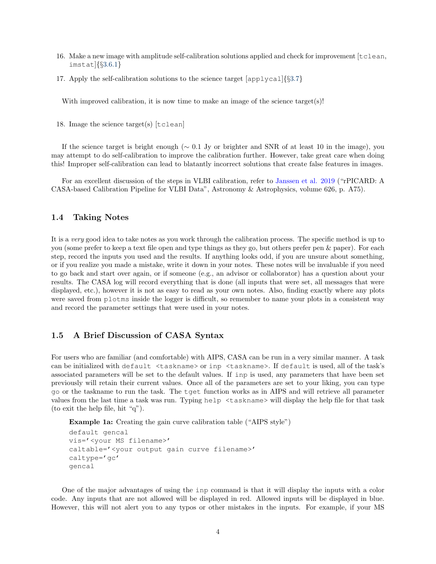- 16. Make a new image with amplitude self-calibration solutions applied and check for improvement [tclean, imstat]{§[3.6.1](#page-23-1)}
- 17. Apply the self-calibration solutions to the science target  $[applyca1]\{§3.7\}$  $[applyca1]\{§3.7\}$  $[applyca1]\{§3.7\}$

With improved calibration, it is now time to make an image of the science target(s)!

18. Image the science target(s) [tclean]

If the science target is bright enough ( $\sim 0.1$  Jy or brighter and SNR of at least 10 in the image), you may attempt to do self-calibration to improve the calibration further. However, take great care when doing this! Improper self-calibration can lead to blatantly incorrect solutions that create false features in images.

For an excellent discussion of the steps in VLBI calibration, refer to [Janssen et al. 2019](https://arxiv.org/pdf/1902.01749.pdf) ("rPICARD: A CASA-based Calibration Pipeline for VLBI Data", Astronomy & Astrophysics, volume 626, p. A75).

#### 1.4 Taking Notes

It is a very good idea to take notes as you work through the calibration process. The specific method is up to you (some prefer to keep a text file open and type things as they go, but others prefer pen & paper). For each step, record the inputs you used and the results. If anything looks odd, if you are unsure about something, or if you realize you made a mistake, write it down in your notes. These notes will be invaluable if you need to go back and start over again, or if someone (e.g., an advisor or collaborator) has a question about your results. The CASA log will record everything that is done (all inputs that were set, all messages that were displayed, etc.), however it is not as easy to read as your own notes. Also, finding exactly where any plots were saved from plotms inside the logger is difficult, so remember to name your plots in a consistent way and record the parameter settings that were used in your notes.

### 1.5 A Brief Discussion of CASA Syntax

For users who are familiar (and comfortable) with AIPS, CASA can be run in a very similar manner. A task can be initialized with default <taskname> or inp <taskname>. If default is used, all of the task's associated parameters will be set to the default values. If inp is used, any parameters that have been set previously will retain their current values. Once all of the parameters are set to your liking, you can type go or the taskname to run the task. The tget function works as in AIPS and will retrieve all parameter values from the last time a task was run. Typing help <taskname> will display the help file for that task (to exit the help file, hit "q").

Example 1a: Creating the gain curve calibration table ("AIPS style")

```
default gencal
vis='<your MS filename>'
caltable='<your output gain curve filename>'
caltype='gc'
gencal
```
One of the major advantages of using the inp command is that it will display the inputs with a color code. Any inputs that are not allowed will be displayed in red. Allowed inputs will be displayed in blue. However, this will not alert you to any typos or other mistakes in the inputs. For example, if your MS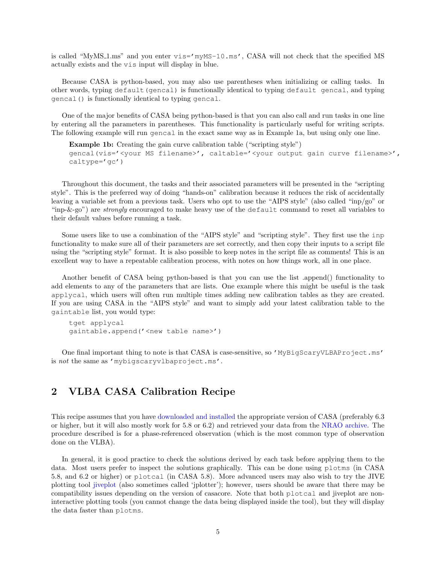is called "MyMS 1.ms" and you enter vis='myMS-10.ms', CASA will not check that the specified MS actually exists and the vis input will display in blue.

Because CASA is python-based, you may also use parentheses when initializing or calling tasks. In other words, typing default(gencal) is functionally identical to typing default gencal, and typing gencal() is functionally identical to typing gencal.

One of the major benefits of CASA being python-based is that you can also call and run tasks in one line by entering all the parameters in parentheses. This functionality is particularly useful for writing scripts. The following example will run gencal in the exact same way as in Example 1a, but using only one line.

Example 1b: Creating the gain curve calibration table ("scripting style") gencal(vis='<your MS filename>', caltable='<your output gain curve filename>', caltype='gc')

Throughout this document, the tasks and their associated parameters will be presented in the "scripting style". This is the preferred way of doing "hands-on" calibration because it reduces the risk of accidentally leaving a variable set from a previous task. Users who opt to use the "AIPS style" (also called "inp/go" or "inp-&-go") are *strongly* encouraged to make heavy use of the default command to reset all variables to their default values before running a task.

Some users like to use a combination of the "AIPS style" and "scripting style". They first use the inp functionality to make sure all of their parameters are set correctly, and then copy their inputs to a script file using the "scripting style" format. It is also possible to keep notes in the script file as comments! This is an excellent way to have a repeatable calibration process, with notes on how things work, all in one place.

Another benefit of CASA being python-based is that you can use the list .append() functionality to add elements to any of the parameters that are lists. One example where this might be useful is the task applycal, which users will often run multiple times adding new calibration tables as they are created. If you are using CASA in the "AIPS style" and want to simply add your latest calibration table to the gaintable list, you would type:

```
tget applycal
gaintable.append('<new table name>')
```
One final important thing to note is that CASA is case-sensitive, so 'MyBigScaryVLBAProject.ms' is not the same as 'mybigscaryvlbaproject.ms'.

## 2 VLBA CASA Calibration Recipe

This recipe assumes that you have [downloaded and installed](https://casa.nrao.edu/casa_obtaining.shtml) the appropriate version of CASA (preferably 6.3 or higher, but it will also mostly work for 5.8 or 6.2) and retrieved your data from the [NRAO archive.](https://data.nrao.edu) The procedure described is for a phase-referenced observation (which is the most common type of observation done on the VLBA).

In general, it is good practice to check the solutions derived by each task before applying them to the data. Most users prefer to inspect the solutions graphically. This can be done using plotms (in CASA 5.8, and 6.2 or higher) or plotcal (in CASA 5.8). More advanced users may also wish to try the JIVE plotting tool [jiveplot](https://github.com/haavee/jiveplot) (also sometimes called 'jplotter'); however, users should be aware that there may be compatibility issues depending on the version of casacore. Note that both plotcal and jiveplot are noninteractive plotting tools (you cannot change the data being displayed inside the tool), but they will display the data faster than plotms.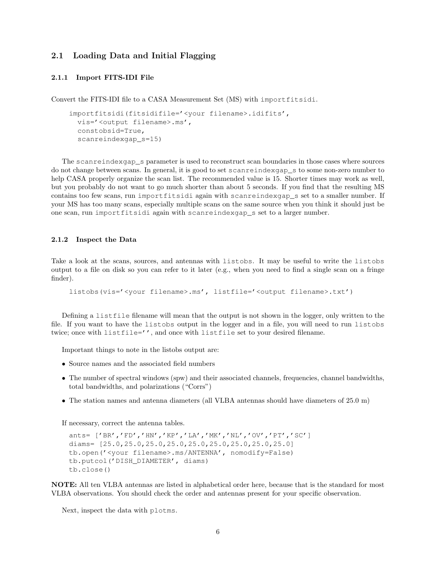### 2.1 Loading Data and Initial Flagging

#### <span id="page-5-0"></span>2.1.1 Import FITS-IDI File

Convert the FITS-IDI file to a CASA Measurement Set (MS) with importfitsidi.

```
importfitsidi(fitsidifile='<your filename>.idifits',
 vis='<output filename>.ms',
 constobsid=True,
  scanreindexgap s=15)
```
The scanreindexgap s parameter is used to reconstruct scan boundaries in those cases where sources do not change between scans. In general, it is good to set scanreindexgap\_s to some non-zero number to help CASA properly organize the scan list. The recommended value is 15. Shorter times may work as well, but you probably do not want to go much shorter than about 5 seconds. If you find that the resulting MS contains too few scans, run importfitsidi again with scanreindexgap\_s set to a smaller number. If your MS has too many scans, especially multiple scans on the same source when you think it should just be one scan, run importfitsidi again with scanreindexgap\_s set to a larger number.

#### <span id="page-5-1"></span>2.1.2 Inspect the Data

Take a look at the scans, sources, and antennas with listobs. It may be useful to write the listobs output to a file on disk so you can refer to it later (e.g., when you need to find a single scan on a fringe finder).

```
listobs(vis='<your filename>.ms', listfile='<output filename>.txt')
```
Defining a listfile filename will mean that the output is not shown in the logger, only written to the file. If you want to have the listobs output in the logger and in a file, you will need to run listobs twice; once with listfile='', and once with listfile set to your desired filename.

Important things to note in the listobs output are:

- Source names and the associated field numbers
- The number of spectral windows (spw) and their associated channels, frequencies, channel bandwidths, total bandwidths, and polarizations ("Corrs")
- The station names and antenna diameters (all VLBA antennas should have diameters of 25.0 m)

If necessary, correct the antenna tables.

```
ants= ['BR','FD','HN','KP','LA','MK','NL','OV','PT','SC']
diams= [25.0,25.0,25.0,25.0,25.0,25.0,25.0,25.0,25.0]
tb.open('<your filename>.ms/ANTENNA', nomodify=False)
tb.putcol('DISH_DIAMETER', diams)
tb.close()
```
NOTE: All ten VLBA antennas are listed in alphabetical order here, because that is the standard for most VLBA observations. You should check the order and antennas present for your specific observation.

Next, inspect the data with plotms.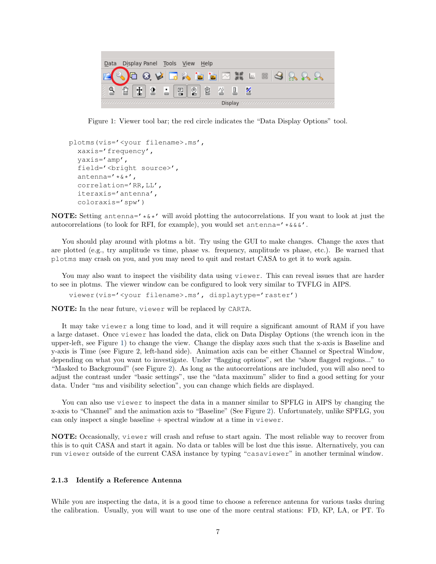

Figure 1: Viewer tool bar; the red circle indicates the "Data Display Options" tool.

```
plotms(vis='<your filename>.ms',
  xaxis='frequency',
  yaxis='amp',
  field='<br />bright source>',
  antenna='*&*',
  correlation='RR,LL',
  iteraxis='antenna',
  coloraxis='spw')
```
**NOTE:** Setting antenna=' $*\&*'$  will avoid plotting the autocorrelations. If you want to look at just the autocorrelations (to look for RFI, for example), you would set antenna=' $*&&&'$ .

You should play around with plotms a bit. Try using the GUI to make changes. Change the axes that are plotted (e.g., try amplitude vs time, phase vs. frequency, amplitude vs phase, etc.). Be warned that plotms may crash on you, and you may need to quit and restart CASA to get it to work again.

You may also want to inspect the visibility data using viewer. This can reveal issues that are harder to see in plotms. The viewer window can be configured to look very similar to TVFLG in AIPS.

viewer(vis='<your filename>.ms', displaytype='raster')

NOTE: In the near future, viewer will be replaced by CARTA.

It may take viewer a long time to load, and it will require a significant amount of RAM if you have a large dataset. Once viewer has loaded the data, click on Data Display Options (the wrench icon in the upper-left, see Figure [1\)](#page-6-1) to change the view. Change the display axes such that the x-axis is Baseline and y-axis is Time (see Figure 2, left-hand side). Animation axis can be either Channel or Spectral Window, depending on what you want to investigate. Under "flagging options", set the "show flagged regions..." to "Masked to Background" (see Figure [2\)](#page-7-1). As long as the autocorrelations are included, you will also need to adjust the contrast under "basic settings", use the "data maximum" slider to find a good setting for your data. Under "ms and visibility selection", you can change which fields are displayed.

You can also use viewer to inspect the data in a manner similar to SPFLG in AIPS by changing the x-axis to "Channel" and the animation axis to "Baseline" (See Figure [2\)](#page-7-1). Unfortunately, unlike SPFLG, you can only inspect a single baseline + spectral window at a time in viewer.

NOTE: Occasionally, viewer will crash and refuse to start again. The most reliable way to recover from this is to quit CASA and start it again. No data or tables will be lost due this issue. Alternatively, you can run viewer outside of the current CASA instance by typing "casaviewer" in another terminal window.

#### <span id="page-6-0"></span>2.1.3 Identify a Reference Antenna

While you are inspecting the data, it is a good time to choose a reference antenna for various tasks during the calibration. Usually, you will want to use one of the more central stations: FD, KP, LA, or PT. To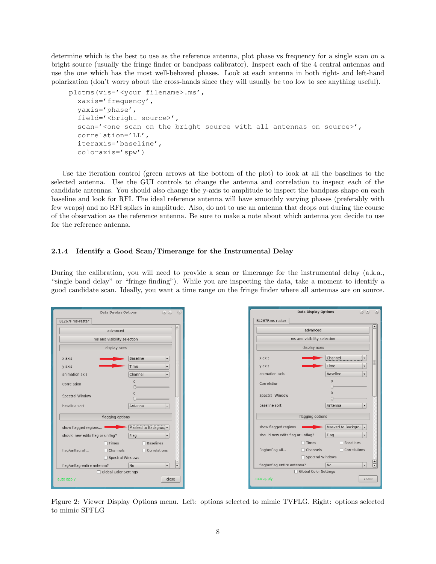determine which is the best to use as the reference antenna, plot phase vs frequency for a single scan on a bright source (usually the fringe finder or bandpass calibrator). Inspect each of the 4 central antennas and use the one which has the most well-behaved phases. Look at each antenna in both right- and left-hand polarization (don't worry about the cross-hands since they will usually be too low to see anything useful).

```
plotms(vis='<your filename>.ms',
  xaxis='frequency',
  yaxis='phase',
  field='<bright source>',
  scan='<one scan on the bright source with all antennas on source>',
  correlation='LL',
  iteraxis='baseline',
  coloraxis='spw')
```
Use the iteration control (green arrows at the bottom of the plot) to look at all the baselines to the selected antenna. Use the GUI controls to change the antenna and correlation to inspect each of the candidate antennas. You should also change the y-axis to amplitude to inspect the bandpass shape on each baseline and look for RFI. The ideal reference antenna will have smoothly varying phases (preferably with few wraps) and no RFI spikes in amplitude. Also, do not to use an antenna that drops out during the course of the observation as the reference antenna. Be sure to make a note about which antenna you decide to use for the reference antenna.

#### <span id="page-7-0"></span>2.1.4 Identify a Good Scan/Timerange for the Instrumental Delay

During the calibration, you will need to provide a scan or timerange for the instrumental delay (a.k.a., "single band delay" or "fringe finding"). While you are inspecting the data, take a moment to identify a good candidate scan. Ideally, you want a time range on the fringe finder where all antennas are on source.



<span id="page-7-1"></span>Figure 2: Viewer Display Options menu. Left: options selected to mimic TVFLG. Right: options selected to mimic SPFLG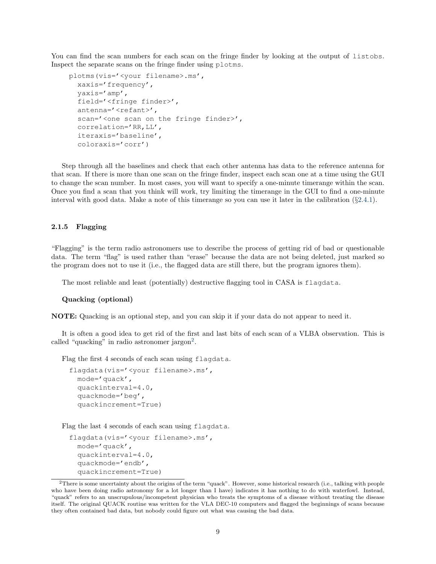You can find the scan numbers for each scan on the fringe finder by looking at the output of listobs. Inspect the separate scans on the fringe finder using plotms.

```
plotms(vis='<your filename>.ms',
  xaxis='frequency',
  yaxis='amp',
  field='<fringe finder>',
  antenna=' <refant>',
  scan='<one scan on the fringe finder>',
  correlation='RR,LL',
  iteraxis='baseline',
  coloraxis='corr')
```
Step through all the baselines and check that each other antenna has data to the reference antenna for that scan. If there is more than one scan on the fringe finder, inspect each scan one at a time using the GUI to change the scan number. In most cases, you will want to specify a one-minute timerange within the scan. Once you find a scan that you think will work, try limiting the timerange in the GUI to find a one-minute interval with good data. Make a note of this timerange so you can use it later in the calibration (§[2.4.1\)](#page-12-1).

#### <span id="page-8-0"></span>2.1.5 Flagging

"Flagging" is the term radio astronomers use to describe the process of getting rid of bad or questionable data. The term "flag" is used rather than "erase" because the data are not being deleted, just marked so the program does not to use it (i.e., the flagged data are still there, but the program ignores them).

The most reliable and least (potentially) destructive flagging tool in CASA is flagdata.

#### Quacking (optional)

NOTE: Quacking is an optional step, and you can skip it if your data do not appear to need it.

It is often a good idea to get rid of the first and last bits of each scan of a VLBA observation. This is called "quacking" in radio astronomer jargon<sup>[2](#page-8-1)</sup>.

Flag the first 4 seconds of each scan using flagdata.

```
flagdata(vis='<your filename>.ms',
 mode='quack',
 quackinterval=4.0,
 quackmode='beg',
 quackincrement=True)
```
Flag the last 4 seconds of each scan using flagdata.

```
flagdata(vis='<your filename>.ms',
 mode='quack',
 quackinterval=4.0,
 quackmode='endb',
  quackincrement=True)
```
<span id="page-8-1"></span> $2$ There is some uncertainty about the origins of the term "quack". However, some historical research (i.e., talking with people who have been doing radio astronomy for a lot longer than I have) indicates it has nothing to do with waterfowl. Instead, "quack" refers to an unscrupulous/incompetent physician who treats the symptoms of a disease without treating the disease itself. The original QUACK routine was written for the VLA DEC-10 computers and flagged the beginnings of scans because they often contained bad data, but nobody could figure out what was causing the bad data.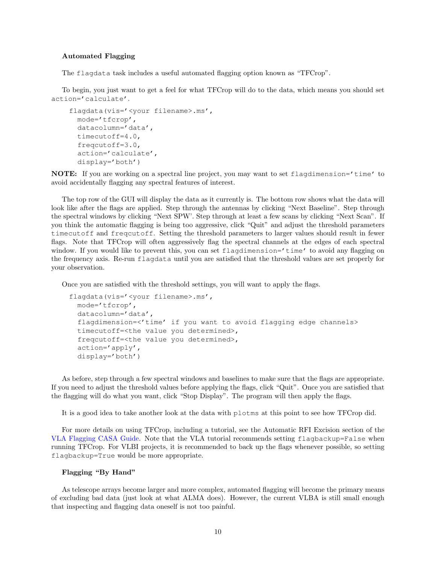#### Automated Flagging

The flagdata task includes a useful automated flagging option known as "TFCrop".

To begin, you just want to get a feel for what TFCrop will do to the data, which means you should set action='calculate'.

```
flagdata(vis='<your filename>.ms',
 mode='tfcrop',
  datacolumn='data',
  timecutoff=4.0,
  freqcutoff=3.0,
  action='calculate',
  display='both')
```
NOTE: If you are working on a spectral line project, you may want to set flagdimension='time' to avoid accidentally flagging any spectral features of interest.

The top row of the GUI will display the data as it currently is. The bottom row shows what the data will look like after the flags are applied. Step through the antennas by clicking "Next Baseline". Step through the spectral windows by clicking "Next SPW'. Step through at least a few scans by clicking "Next Scan". If you think the automatic flagging is being too aggressive, click "Quit" and adjust the threshold parameters timecutoff and freqcutoff. Setting the threshold parameters to larger values should result in fewer flags. Note that TFCrop will often aggressively flag the spectral channels at the edges of each spectral window. If you would like to prevent this, you can set flagdimension='time' to avoid any flagging on the frequency axis. Re-run flagdata until you are satisfied that the threshold values are set properly for your observation.

Once you are satisfied with the threshold settings, you will want to apply the flags.

```
flagdata(vis='<your filename>.ms',
 mode='tfcrop',
 datacolumn='data',
 flagdimension=<'time' if you want to avoid flagging edge channels>
 timecutoff=<the value you determined>,
 freqcutoff=<the value you determined>,
 action='apply',
 display='both')
```
As before, step through a few spectral windows and baselines to make sure that the flags are appropriate. If you need to adjust the threshold values before applying the flags, click "Quit". Once you are satisfied that the flagging will do what you want, click "Stop Display". The program will then apply the flags.

It is a good idea to take another look at the data with plotms at this point to see how TFCrop did.

For more details on using TFCrop, including a tutorial, see the Automatic RFI Excision section of the [VLA Flagging CASA Guide.](https://casaguides.nrao.edu/index.php?title=VLA_CASA_Flagging-CASA6.2.0#Automatic_RFI_Excision) Note that the VLA tutorial recommends setting flagbackup=False when running TFCrop. For VLBI projects, it is recommended to back up the flags whenever possible, so setting flagbackup=True would be more appropriate.

#### Flagging "By Hand"

As telescope arrays become larger and more complex, automated flagging will become the primary means of excluding bad data (just look at what ALMA does). However, the current VLBA is still small enough that inspecting and flagging data oneself is not too painful.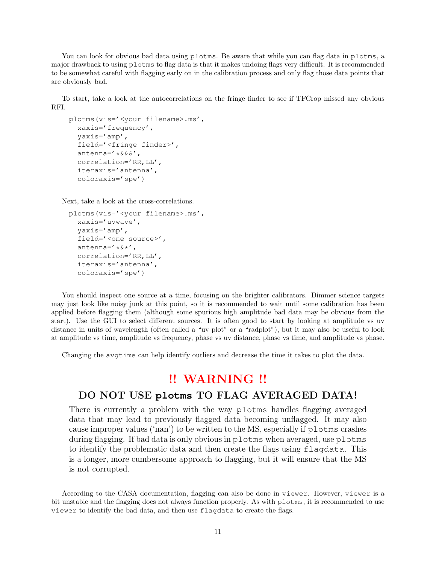You can look for obvious bad data using plotms. Be aware that while you can flag data in plotms, a major drawback to using plotms to flag data is that it makes undoing flags very difficult. It is recommended to be somewhat careful with flagging early on in the calibration process and only flag those data points that are obviously bad.

To start, take a look at the autocorrelations on the fringe finder to see if TFCrop missed any obvious RFI.

```
plotms(vis='<your filename>.ms',
  xaxis='frequency',
  yaxis='amp',
  field='<fringe finder>',
  antenna='*&&&',
  correlation='RR,LL',
  iteraxis='antenna',
  coloraxis='spw')
```
Next, take a look at the cross-correlations.

```
plotms(vis='<your filename>.ms',
  xaxis='uvwave',
  yaxis='amp',
  field='<one source>',
  antenna=' *&*',
  correlation='RR,LL',
  iteraxis='antenna',
  coloraxis='spw')
```
You should inspect one source at a time, focusing on the brighter calibrators. Dimmer science targets may just look like noisy junk at this point, so it is recommended to wait until some calibration has been applied before flagging them (although some spurious high amplitude bad data may be obvious from the start). Use the GUI to select different sources. It is often good to start by looking at amplitude vs uv distance in units of wavelength (often called a "uv plot" or a "radplot"), but it may also be useful to look at amplitude vs time, amplitude vs frequency, phase vs uv distance, phase vs time, and amplitude vs phase.

Changing the avgtime can help identify outliers and decrease the time it takes to plot the data.

## !! WARNING !!

## DO NOT USE **plotms** TO FLAG AVERAGED DATA!

There is currently a problem with the way plotms handles flagging averaged data that may lead to previously flagged data becoming unflagged. It may also cause improper values ('nan') to be written to the MS, especially if plotms crashes during flagging. If bad data is only obvious in plotms when averaged, use plotms to identify the problematic data and then create the flags using flagdata. This is a longer, more cumbersome approach to flagging, but it will ensure that the MS is not corrupted.

According to the CASA documentation, flagging can also be done in viewer. However, viewer is a bit unstable and the flagging does not always function properly. As with plotms, it is recommended to use viewer to identify the bad data, and then use flagdata to create the flags.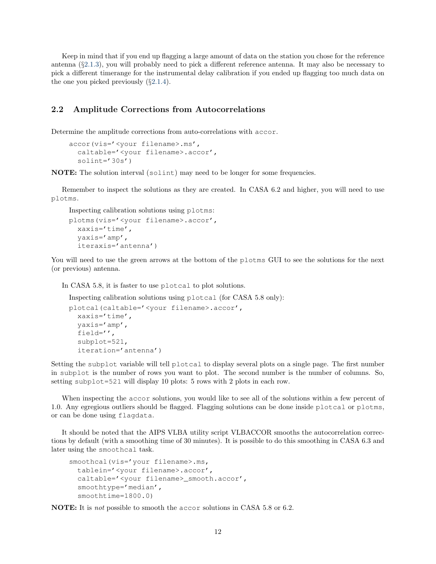Keep in mind that if you end up flagging a large amount of data on the station you chose for the reference antenna (§[2.1.3\)](#page-6-0), you will probably need to pick a different reference antenna. It may also be necessary to pick a different timerange for the instrumental delay calibration if you ended up flagging too much data on the one you picked previously (§[2.1.4\)](#page-7-0).

## <span id="page-11-0"></span>2.2 Amplitude Corrections from Autocorrelations

Determine the amplitude corrections from auto-correlations with accor.

```
accor(vis='<your filename>.ms',
  caltable='<your filename>.accor',
  solint='30s')
```
NOTE: The solution interval (solint) may need to be longer for some frequencies.

Remember to inspect the solutions as they are created. In CASA 6.2 and higher, you will need to use plotms.

```
Inspecting calibration solutions using plotms:
plotms(vis='<your filename>.accor',
```

```
xaxis='time',
yaxis='amp',
iteraxis='antenna')
```
You will need to use the green arrows at the bottom of the plotms GUI to see the solutions for the next (or previous) antenna.

In CASA 5.8, it is faster to use plotcal to plot solutions.

Inspecting calibration solutions using plotcal (for CASA 5.8 only):

```
plotcal(caltable='<your filename>.accor',
  xaxis='time',
  yaxis='amp',
  field='',
  subplot=521,
  iteration='antenna')
```
Setting the subplot variable will tell plotcal to display several plots on a single page. The first number in subplot is the number of rows you want to plot. The second number is the number of columns. So, setting subplot=521 will display 10 plots: 5 rows with 2 plots in each row.

When inspecting the accor solutions, you would like to see all of the solutions within a few percent of 1.0. Any egregious outliers should be flagged. Flagging solutions can be done inside plotcal or plotms, or can be done using flagdata.

It should be noted that the AIPS VLBA utility script VLBACCOR smooths the autocorrelation corrections by default (with a smoothing time of 30 minutes). It is possible to do this smoothing in CASA 6.3 and later using the smoothcal task.

```
smoothcal(vis='your filename>.ms,
 tablein='<your filename>.accor',
 caltable='<your filename>_smooth.accor',
  smoothtype='median',
  smoothtime=1800.0)
```
NOTE: It is not possible to smooth the accor solutions in CASA 5.8 or 6.2.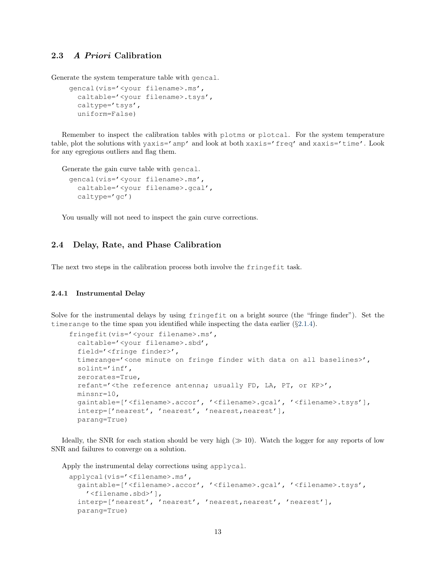## <span id="page-12-0"></span>2.3 A Priori Calibration

Generate the system temperature table with gencal.

```
gencal(vis='<your filename>.ms',
  caltable='<your filename>.tsys',
  caltype='tsys',
  uniform=False)
```
Remember to inspect the calibration tables with plotms or plotcal. For the system temperature table, plot the solutions with yaxis='amp' and look at both xaxis='freq' and xaxis='time'. Look for any egregious outliers and flag them.

Generate the gain curve table with gencal.

```
gencal(vis='<your filename>.ms',
  caltable='<your filename>.gcal',
  caltype='gc')
```
You usually will not need to inspect the gain curve corrections.

### 2.4 Delay, Rate, and Phase Calibration

The next two steps in the calibration process both involve the fringefit task.

#### <span id="page-12-1"></span>2.4.1 Instrumental Delay

Solve for the instrumental delays by using fringefit on a bright source (the "fringe finder"). Set the timerange to the time span you identified while inspecting the data earlier  $(\S2.1.4)$  $(\S2.1.4)$ .

```
fringefit(vis='<your filename>.ms',
 caltable='<your filename>.sbd',
 field='<fringe finder>',
 timerange='<one minute on fringe finder with data on all baselines>',
 solint='inf',
 zerorates=True,
 refant='<the reference antenna; usually FD, LA, PT, or KP>',
 minsnr=10,
 gaintable=['<filename>.accor', '<filename>.gcal', '<filename>.tsys'],
 interp=['nearest', 'nearest', 'nearest,nearest'],
 parang=True)
```
Ideally, the SNR for each station should be very high  $(\gg 10)$ . Watch the logger for any reports of low SNR and failures to converge on a solution.

Apply the instrumental delay corrections using applycal.

```
applycal(vis='<filename>.ms',
  gaintable=['<filename>.accor', '<filename>.gcal', '<filename>.tsys',
    '<filename.sbd>'],
  interp=['nearest', 'nearest', 'nearest,nearest', 'nearest'],
  parang=True)
```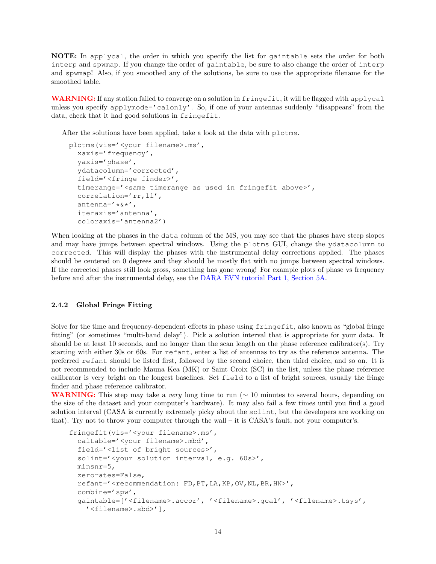NOTE: In applycal, the order in which you specify the list for gaintable sets the order for both interp and spwmap. If you change the order of gaintable, be sure to also change the order of interp and spwmap! Also, if you smoothed any of the solutions, be sure to use the appropriate filename for the smoothed table.

WARNING: If any station failed to converge on a solution in fringefit, it will be flagged with applycal unless you specify applymode='calonly'. So, if one of your antennas suddenly "disappears" from the data, check that it had good solutions in fringefit.

After the solutions have been applied, take a look at the data with plotms.

```
plotms(vis='<your filename>.ms',
  xaxis='frequency',
  yaxis='phase',
  ydatacolumn='corrected',
  field='<fringe finder>',
  timerange='<same timerange as used in fringefit above>',
  correlation='rr, ll',
  antenna='*\&*',
  iteraxis='antenna',
  coloraxis='antenna2')
```
When looking at the phases in the data column of the MS, you may see that the phases have steep slopes and may have jumps between spectral windows. Using the plotms GUI, change the ydatacolumn to corrected. This will display the phases with the instrumental delay corrections applied. The phases should be centered on 0 degrees and they should be mostly flat with no jumps between spectral windows. If the corrected phases still look gross, something has gone wrong! For example plots of phase vs frequency before and after the instrumental delay, see the [DARA EVN tutorial Part 1, Section 5A.](http://www.jb.man.ac.uk/DARA/unit4/Workshops/EVN_continuum_part_1.html#instrumental_delay)

#### <span id="page-13-0"></span>2.4.2 Global Fringe Fitting

Solve for the time and frequency-dependent effects in phase using fringefit, also known as "global fringe fitting" (or sometimes "multi-band delay"). Pick a solution interval that is appropriate for your data. It should be at least 10 seconds, and no longer than the scan length on the phase reference calibrator(s). Try starting with either 30s or 60s. For refant, enter a list of antennas to try as the reference antenna. The preferred refant should be listed first, followed by the second choice, then third choice, and so on. It is not recommended to include Mauna Kea (MK) or Saint Croix (SC) in the list, unless the phase reference calibrator is very bright on the longest baselines. Set field to a list of bright sources, usually the fringe finder and phase reference calibrator.

WARNING: This step may take a very long time to run ( $\sim 10$  minutes to several hours, depending on the size of the dataset and your computer's hardware). It may also fail a few times until you find a good solution interval (CASA is currently extremely picky about the solint, but the developers are working on that). Try not to throw your computer through the wall – it is CASA's fault, not your computer's.

```
fringefit(vis='<your filename>.ms',
 caltable='<your filename>.mbd',
  field='<list of bright sources>',
 solint='<your solution interval, e.g. 60s>',
 minsnr=5,
 zerorates=False,
 refant='<recommendation: FD,PT,LA,KP,OV,NL,BR,HN>',
 combine='spw',
 gaintable=['<filename>.accor', '<filename>.gcal', '<filename>.tsys',
    '<filename>.sbd>'],
```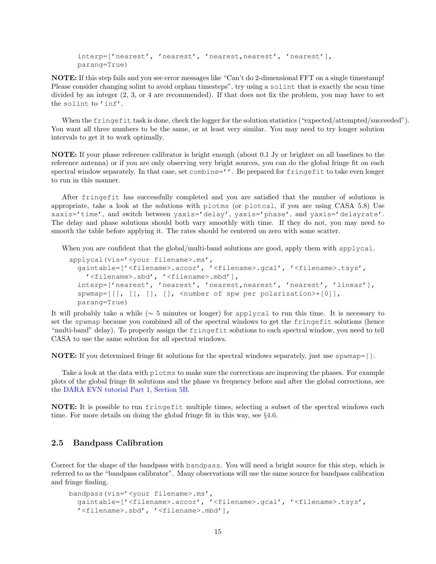interp=['nearest', 'nearest', 'nearest,nearest', 'nearest'], parang=True)

NOTE: If this step fails and you see error messages like "Can't do 2-dimensional FFT on a single timestamp! Please consider changing solint to avoid orphan timesteps", try using a solint that is exactly the scan time divided by an integer (2, 3, or 4 are recommended). If that does not fix the problem, you may have to set the solint to 'inf'.

When the fringefit task is done, check the logger for the solution statistics ("expected/attempted/succeeded"). You want all three numbers to be the same, or at least very similar. You may need to try longer solution intervals to get it to work optimally.

NOTE: If your phase reference calibrator is bright enough (about 0.1 Jy or brighter on all baselines to the reference antenna) or if you are only observing very bright sources, you can do the global fringe fit on each spectral window separately. In that case, set combine=''. Be prepared for fringefit to take even longer to run in this manner.

After fringefit has successfully completed and you are satisfied that the number of solutions is appropriate, take a look at the solutions with plotms (or plotcal, if you are using CASA 5.8) Use xaxis='time', and switch between yaxis='delay', yaxis='phase', and yaxis='delayrate'. The delay and phase solutions should both vary smoothly with time. If they do not, you may need to smooth the table before applying it. The rates should be centered on zero with some scatter.

When you are confident that the global/multi-band solutions are good, apply them with applycal.

```
applycal(vis='<your filename>.ms',
  gaintable=['<filename>.accor', '<filename>.gcal', '<filename>.tsys',
    '<filename>.sbd', '<filename>.mbd'],
  interp=['nearest', 'nearest', 'nearest,nearest', 'nearest', 'linear'],
  spwmap=[[], [], [], [], <number of spw per polarization>*[0]],
  parang=True)
```
It will probably take a while (∼ 5 minutes or longer) for applycal to run this time. It is necessary to set the spwmap because you combined all of the spectral windows to get the fringefit solutions (hence "multi-band" delay). To properly assign the fringefit solutions to each spectral window, you need to tell CASA to use the same solution for all spectral windows.

NOTE: If you determined fringe fit solutions for the spectral windows separately, just use spwmap=[].

Take a look at the data with plotms to make sure the corrections are improving the phases. For example plots of the global fringe fit solutions and the phase vs frequency before and after the global corrections, see the [DARA EVN tutorial Part 1, Section 5B.](http://www.jb.man.ac.uk/DARA/unit4/Workshops/EVN_continuum_part_1.html#multiband_delay)

NOTE: It is possible to run fringefit multiple times, selecting a subset of the spectral windows each time. For more details on doing the global fringe fit in this way, see §[4.6.](#page-26-0)

## <span id="page-14-0"></span>2.5 Bandpass Calibration

Correct for the shape of the bandpass with bandpass. You will need a bright source for this step, which is referred to as the "bandpass calibrator". Many observations will use the same source for bandpass calibration and fringe finding.

```
bandpass(vis='<your filename>.ms',
  gaintable=['<filename>.accor', '<filename>.gcal', '<filename>.tsys',
  '<filename>.sbd', '<filename>.mbd'],
```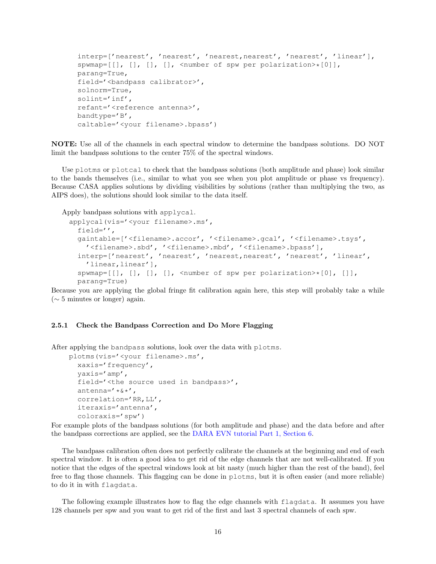```
interp=['nearest', 'nearest', 'nearest,nearest', 'nearest', 'linear'],
spwmap=[[], [], [], [], <number of spw per polarization>*[0]],
parang=True,
field='<br/>bandpass calibrator>',
solnorm=True,
solint='inf',
refant='<reference antenna>',
bandtype='B',
caltable='<your filename>.bpass')
```
NOTE: Use all of the channels in each spectral window to determine the bandpass solutions. DO NOT limit the bandpass solutions to the center 75% of the spectral windows.

Use plotms or plotcal to check that the bandpass solutions (both amplitude and phase) look similar to the bands themselves (i.e., similar to what you see when you plot amplitude or phase vs frequency). Because CASA applies solutions by dividing visibilities by solutions (rather than multiplying the two, as AIPS does), the solutions should look similar to the data itself.

Apply bandpass solutions with applycal.

```
applycal(vis='<your filename>.ms',
  field='',
  gaintable=['<filename>.accor', '<filename>.gcal', '<filename>.tsys',
    '<filename>.sbd', '<filename>.mbd', '<filename>.bpass'],
  interp=['nearest', 'nearest', 'nearest,nearest', 'nearest', 'linear',
    'linear,linear'],
  spwmap=[[], [], [], [], <number of spw per polarization>*[0], []],
  parang=True)
```
Because you are applying the global fringe fit calibration again here, this step will probably take a while  $($ ∼ 5 minutes or longer) again.

#### 2.5.1 Check the Bandpass Correction and Do More Flagging

After applying the bandpass solutions, look over the data with plotms.

```
plotms(vis='<your filename>.ms',
  xaxis='frequency',
  yaxis='amp',
  field='<the source used in bandpass>',
  antenna='*&*',
  correlation='RR,LL',
  iteraxis='antenna',
  coloraxis='spw')
```
For example plots of the bandpass solutions (for both amplitude and phase) and the data before and after the bandpass corrections are applied, see the [DARA EVN tutorial Part 1, Section 6.](http://www.jb.man.ac.uk/DARA/unit4/Workshops/EVN_continuum_part_1.html#Bandpass)

The bandpass calibration often does not perfectly calibrate the channels at the beginning and end of each spectral window. It is often a good idea to get rid of the edge channels that are not well-calibrated. If you notice that the edges of the spectral windows look at bit nasty (much higher than the rest of the band), feel free to flag those channels. This flagging can be done in plotms, but it is often easier (and more reliable) to do it in with flagdata.

The following example illustrates how to flag the edge channels with flagdata. It assumes you have 128 channels per spw and you want to get rid of the first and last 3 spectral channels of each spw.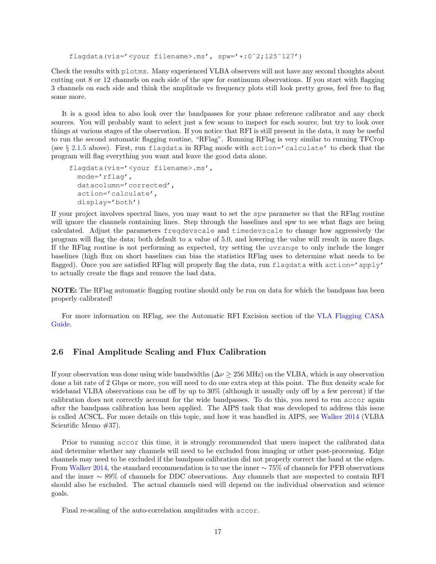```
flagdata(vis='<your filename>.ms', spw='*:0˜2;125˜127')
```
Check the results with plotms. Many experienced VLBA observers will not have any second thoughts about cutting out 8 or 12 channels on each side of the spw for continuum observations. If you start with flagging 3 channels on each side and think the amplitude vs frequency plots still look pretty gross, feel free to flag some more.

It is a good idea to also look over the bandpasses for your phase reference calibrator and any check sources. You will probably want to select just a few scans to inspect for each source, but try to look over things at various stages of the observation. If you notice that RFI is still present in the data, it may be useful to run the second automatic flagging routine, "RFlag". Running RFlag is very similar to running TFCrop (see § [2.1.5](#page-8-0) above). First, run flagdata in RFlag mode with action='calculate' to check that the program will flag everything you want and leave the good data alone.

```
flagdata(vis='<your filename>.ms',
 mode='rflag',
 datacolumn='corrected',
 action='calculate',
 display='both')
```
If your project involves spectral lines, you may want to set the spw parameter so that the RFlag routine will ignore the channels containing lines. Step through the baselines and spw to see what flags are being calculated. Adjust the parameters freqdevscale and timedevscale to change how aggressively the program will flag the data; both default to a value of 5.0, and lowering the value will result in more flags. If the RFlag routine is not performing as expected, try setting the uvrange to only include the longer baselines (high flux on short baselines can bias the statistics RFlag uses to determine what needs to be flagged). Once you are satisfied RFlag will properly flag the data, run flagdata with action='apply' to actually create the flags and remove the bad data.

NOTE: The RFlag automatic flagging routine should only be run on data for which the bandpass has been properly calibrated!

For more information on RFlag, see the Automatic RFI Excision section of the [VLA Flagging CASA](https://casaguides.nrao.edu/index.php?title=VLA_CASA_Flagging-CASA6.2.0#Automatic_RFI_Excision) [Guide.](https://casaguides.nrao.edu/index.php?title=VLA_CASA_Flagging-CASA6.2.0#Automatic_RFI_Excision)

### <span id="page-16-0"></span>2.6 Final Amplitude Scaling and Flux Calibration

If your observation was done using wide bandwidths ( $\Delta \nu \geq 256$  MHz) on the VLBA, which is any observation done a bit rate of 2 Gbps or more, you will need to do one extra step at this point. The flux density scale for wideband VLBA observations can be off by up to 30% (although it usually only off by a few percent) if the calibration does not correctly account for the wide bandpasses. To do this, you need to run accor again after the bandpass calibration has been applied. The AIPS task that was developed to address this issue is called ACSCL. For more details on this topic, and how it was handled in AIPS, see [Walker 2014](https://library.nrao.edu/public/memos/vlba/sci/VLBAS_37.pdf) (VLBA Scientific Memo #37).

Prior to running accor this time, it is strongly recommended that users inspect the calibrated data and determine whether any channels will need to be excluded from imaging or other post-processing. Edge channels may need to be excluded if the bandpass calibration did not properly correct the band at the edges. From [Walker 2014,](https://library.nrao.edu/public/memos/vlba/sci/VLBAS_37.pdf) the standard recommendation is to use the inner ∼ 75% of channels for PFB observations and the inner ∼ 89% of channels for DDC observations. Any channels that are suspected to contain RFI should also be excluded. The actual channels used will depend on the individual observation and science goals.

Final re-scaling of the auto-correlation amplitudes with accor.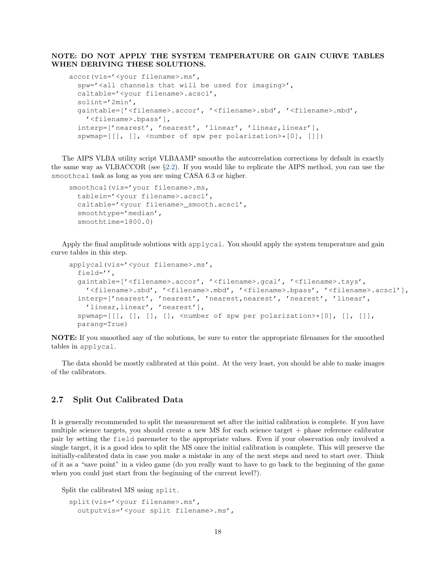### NOTE: DO NOT APPLY THE SYSTEM TEMPERATURE OR GAIN CURVE TABLES WHEN DERIVING THESE SOLUTIONS.

```
accor(vis='<your filename>.ms',
  spw='<all channels that will be used for imaging>',
  caltable='<your filename>.acscl',
  solint='2min',
  gaintable=['<filename>.accor', '<filename>.sbd', '<filename>.mbd',
    '<filename>.bpass'],
  interp=['nearest', 'nearest', 'linear', 'linear,linear'],
  spwmap=[[], [], <number of spw per polarization>*[0], []])
```
The AIPS VLBA utility script VLBAAMP smooths the autcorrelation corrections by default in exactly the same way as VLBACCOR (see §[2.2\)](#page-11-0). If you would like to replicate the AIPS method, you can use the smoothcal task as long as you are using CASA 6.3 or higher.

```
smoothcal(vis='your filename>.ms,
 tablein='<your filename>.acscl',
 caltable='<your filename>_smooth.acscl',
 smoothtype='median',
  smoothtime=1800.0)
```
Apply the final amplitude solutions with applycal. You should apply the system temperature and gain curve tables in this step.

```
applycal(vis='<your filename>.ms',
  field='',
  gaintable=['<filename>.accor', '<filename>.gcal', '<filename>.tsys',
    '<filename>.sbd', '<filename>.mbd', '<filename>.bpass', '<filename>.acscl'],
  interp=['nearest', 'nearest', 'nearest,nearest', 'nearest', 'linear',
    'linear, linear', 'nearest'],
  spwmap=[[], [], [], [], \leqnumber of spw per polarization>*(0], [], []],
  parang=True)
```
NOTE: If you smoothed any of the solutions, be sure to enter the appropriate filenames for the smoothed tables in applycal.

The data should be mostly calibrated at this point. At the very least, you should be able to make images of the calibrators.

## 2.7 Split Out Calibrated Data

It is generally recommended to split the measurement set after the initial calibration is complete. If you have multiple science targets, you should create a new MS for each science target + phase reference calibrator pair by setting the field paremeter to the appropriate values. Even if your observation only involved a single target, it is a good idea to split the MS once the initial calibration is complete. This will preserve the initially-calibrated data in case you make a mistake in any of the next steps and need to start over. Think of it as a "save point" in a video game (do you really want to have to go back to the beginning of the game when you could just start from the beginning of the current level?).

Split the calibrated MS using split.

```
split(vis='<your filename>.ms',
 outputvis='<your split filename>.ms',
```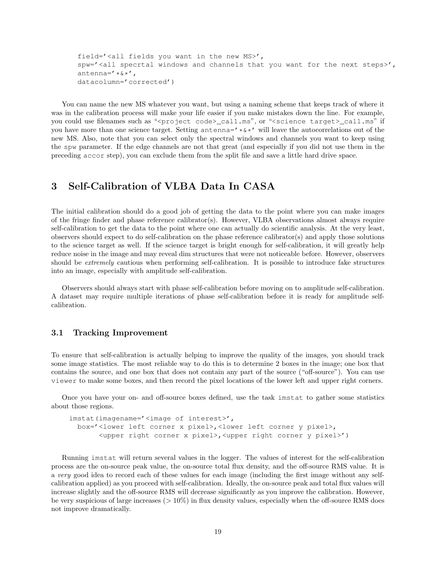field='<all fields you want in the new MS>', spw='<all specrtal windows and channels that you want for the next steps>', antenna=' $*\&*'$ , datacolumn='corrected')

You can name the new MS whatever you want, but using a naming scheme that keeps track of where it was in the calibration process will make your life easier if you make mistakes down the line. For example, you could use filenames such as "<project code>\_cal1.ms", or "<science target>\_cal1.ms" if you have more than one science target. Setting antenna=' $\star \& \star'$ ' will leave the autocorrelations out of the new MS. Also, note that you can select only the spectral windows and channels you want to keep using the spw parameter. If the edge channels are not that great (and especially if you did not use them in the preceding accor step), you can exclude them from the split file and save a little hard drive space.

## 3 Self-Calibration of VLBA Data In CASA

The initial calibration should do a good job of getting the data to the point where you can make images of the fringe finder and phase reference calibrator(s). However, VLBA observations almost always require self-calibration to get the data to the point where one can actually do scientific analysis. At the very least, observers should expect to do self-calibration on the phase reference calibrator(s) and apply those solutions to the science target as well. If the science target is bright enough for self-calibration, it will greatly help reduce noise in the image and may reveal dim structures that were not noticeable before. However, observers should be *extremely* cautious when performing self-calibration. It is possible to introduce fake structures into an image, especially with amplitude self-calibration.

Observers should always start with phase self-calibration before moving on to amplitude self-calibration. A dataset may require multiple iterations of phase self-calibration before it is ready for amplitude selfcalibration.

#### 3.1 Tracking Improvement

To ensure that self-calibration is actually helping to improve the quality of the images, you should track some image statistics. The most reliable way to do this is to determine 2 boxes in the image; one box that contains the source, and one box that does not contain any part of the source ("off-source"). You can use viewer to make some boxes, and then record the pixel locations of the lower left and upper right corners.

Once you have your on- and off-source boxes defined, use the task imstat to gather some statistics about those regions.

```
imstat(imagename='<image of interest>',
  box='<lower left corner x pixel>,<lower left corner y pixel>,
       <upper right corner x pixel>,<upper right corner y pixel>')
```
Running imstat will return several values in the logger. The values of interest for the self-calibration process are the on-source peak value, the on-source total flux density, and the off-source RMS value. It is a very good idea to record each of these values for each image (including the first image without any selfcalibration applied) as you proceed with self-calibration. Ideally, the on-source peak and total flux values will increase slightly and the off-source RMS will decrease significantly as you improve the calibration. However, be very suspicious of large increases ( $> 10\%$ ) in flux density values, especially when the off-source RMS does not improve dramatically.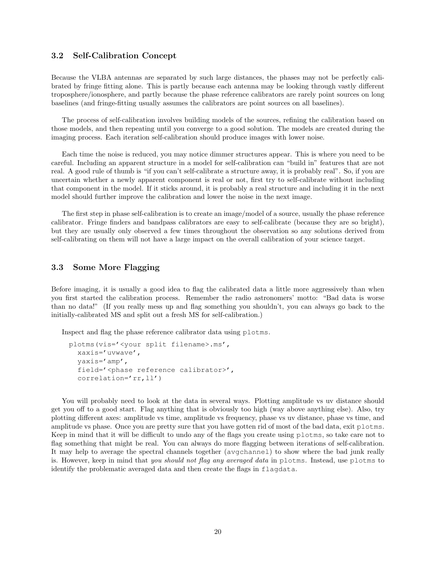#### 3.2 Self-Calibration Concept

Because the VLBA antennas are separated by such large distances, the phases may not be perfectly calibrated by fringe fitting alone. This is partly because each antenna may be looking through vastly different troposphere/ionosphere, and partly because the phase reference calibrators are rarely point sources on long baselines (and fringe-fitting usually assumes the calibrators are point sources on all baselines).

The process of self-calibration involves building models of the sources, refining the calibration based on those models, and then repeating until you converge to a good solution. The models are created during the imaging process. Each iteration self-calibration should produce images with lower noise.

Each time the noise is reduced, you may notice dimmer structures appear. This is where you need to be careful. Including an apparent structure in a model for self-calibration can "build in" features that are not real. A good rule of thumb is "if you can't self-calibrate a structure away, it is probably real". So, if you are uncertain whether a newly apparent component is real or not, first try to self-calibrate without including that component in the model. If it sticks around, it is probably a real structure and including it in the next model should further improve the calibration and lower the noise in the next image.

The first step in phase self-calibration is to create an image/model of a source, usually the phase reference calibrator. Fringe finders and bandpass calibrators are easy to self-calibrate (because they are so bright), but they are usually only observed a few times throughout the observation so any solutions derived from self-calibrating on them will not have a large impact on the overall calibration of your science target.

#### 3.3 Some More Flagging

Before imaging, it is usually a good idea to flag the calibrated data a little more aggressively than when you first started the calibration process. Remember the radio astronomers' motto: "Bad data is worse than no data!" (If you really mess up and flag something you shouldn't, you can always go back to the initially-calibrated MS and split out a fresh MS for self-calibration.)

Inspect and flag the phase reference calibrator data using plotms.

```
plotms(vis='<your split filename>.ms',
  xaxis='uvwave',
  yaxis='amp',
  field='<phase reference calibrator>',
  correlation='rr,ll')
```
You will probably need to look at the data in several ways. Plotting amplitude vs uv distance should get you off to a good start. Flag anything that is obviously too high (way above anything else). Also, try plotting different axes: amplitude vs time, amplitude vs frequency, phase vs uv distance, phase vs time, and amplitude vs phase. Once you are pretty sure that you have gotten rid of most of the bad data, exit plotms. Keep in mind that it will be difficult to undo any of the flags you create using plotms, so take care not to flag something that might be real. You can always do more flagging between iterations of self-calibration. It may help to average the spectral channels together (avgchannel) to show where the bad junk really is. However, keep in mind that you should not flag any averaged data in plotms. Instead, use plotms to identify the problematic averaged data and then create the flags in flagdata.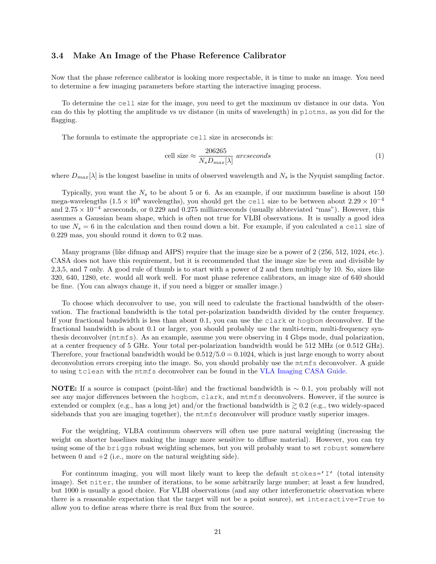#### <span id="page-20-0"></span>3.4 Make An Image of the Phase Reference Calibrator

Now that the phase reference calibrator is looking more respectable, it is time to make an image. You need to determine a few imaging parameters before starting the interactive imaging process.

To determine the cell size for the image, you need to get the maximum uv distance in our data. You can do this by plotting the amplitude vs uv distance (in units of wavelength) in plotms, as you did for the flagging.

The formula to estimate the appropriate cell size in arcseconds is:

$$
cell size \approx \frac{206265}{N_s D_{max}[\lambda]} \; arcseconds \tag{1}
$$

where  $D_{max}[\lambda]$  is the longest baseline in units of observed wavelength and  $N_s$  is the Nyquist sampling factor.

Typically, you want the  $N_s$  to be about 5 or 6. As an example, if our maximum baseline is about 150 mega-wavelengths  $(1.5 \times 10^8$  wavelengths), you should get the cell size to be between about  $2.29 \times 10^{-4}$ and  $2.75 \times 10^{-4}$  arcseconds, or 0.229 and 0.275 milliarcseconds (usually abbreviated "mas"). However, this assumes a Gaussian beam shape, which is often not true for VLBI observations. It is usually a good idea to use  $N_s = 6$  in the calculation and then round down a bit. For example, if you calculated a cell size of 0.229 mas, you should round it down to 0.2 mas.

Many programs (like difmap and AIPS) require that the image size be a power of 2 (256, 512, 1024, etc.). CASA does not have this requirement, but it is recommended that the image size be even and divisible by 2,3,5, and 7 only. A good rule of thumb is to start with a power of 2 and then multiply by 10. So, sizes like 320, 640, 1280, etc. would all work well. For most phase reference calibrators, an image size of 640 should be fine. (You can always change it, if you need a bigger or smaller image.)

To choose which deconvolver to use, you will need to calculate the fractional bandwidth of the observation. The fractional bandwidth is the total per-polarization bandwidth divided by the center frequency. If your fractional bandwidth is less than about 0.1, you can use the clark or hogbom deconvolver. If the fractional bandwidth is about 0.1 or larger, you should probably use the multi-term, multi-frequency synthesis deconvolver (mtmfs). As an example, assume you were observing in 4 Gbps mode, dual polarization, at a center frequency of 5 GHz. Your total per-polarization bandwidth would be 512 MHz (or 0.512 GHz). Therefore, your fractional bandwidth would be  $0.512/5.0 = 0.1024$ , which is just large enough to worry about deconvolution errors creeping into the image. So, you should probably use the mtmfs deconvolver. A guide to using tclean with the mtmfs deconvolver can be found in the [VLA Imaging CASA Guide.](https://casaguides.nrao.edu/index.php?title=Karl_G._Jansky_VLA_Tutorials#Imaging_VLA_Data_in_CASA)

**NOTE:** If a source is compact (point-like) and the fractional bandwidth is  $\sim 0.1$ , you probably will not see any major differences between the hogbom, clark, and mtmfs deconvolvers. However, if the source is extended or complex (e.g., has a long jet) and/or the fractional bandwidth is  $\geq 0.2$  (e.g., two widely-spaced sidebands that you are imaging together), the mtmfs deconvolver will produce vastly superior images.

For the weighting, VLBA continuum observers will often use pure natural weighting (increasing the weight on shorter baselines making the image more sensitive to diffuse material). However, you can try using some of the briggs robust weighting schemes, but you will probably want to set robust somewhere between 0 and  $+2$  (i.e., more on the natural weighting side).

For continuum imaging, you will most likely want to keep the default stokes='I' (total intensity image). Set niter, the number of iterations, to be some arbitrarily large number; at least a few hundred, but 1000 is usually a good choice. For VLBI observations (and any other interferometric observation where there is a reasonable expectation that the target will not be a point source), set interactive=True to allow you to define areas where there is real flux from the source.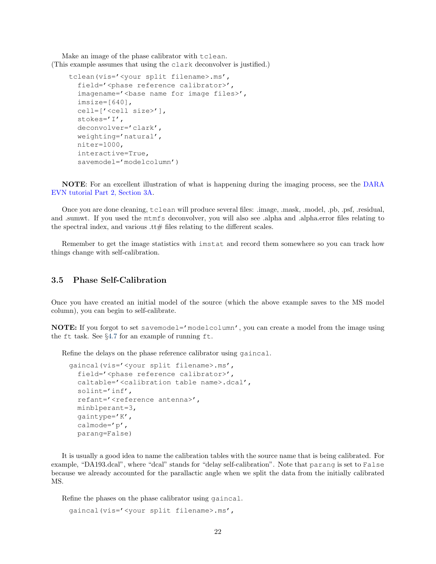Make an image of the phase calibrator with tclean. (This example assumes that using the clark deconvolver is justified.)

```
tclean(vis='<your split filename>.ms',
  field='<phase reference calibrator>',
  imagename='<br >>base name for image files>',
  imsize=[640],
  cell=['<cell size>'],
  stokes='I',
  deconvolver='clark',
  weighting='natural',
  niter=1000,
  interactive=True,
  savemodel='modelcolumn')
```
NOTE: For an excellent illustration of what is happening during the imaging process, see the [DARA](http://www.jb.man.ac.uk/DARA/unit4/Workshops/EVN_continuum_part_2.html#Imaging_101) [EVN tutorial Part 2, Section 3A.](http://www.jb.man.ac.uk/DARA/unit4/Workshops/EVN_continuum_part_2.html#Imaging_101)

Once you are done cleaning, tclean will produce several files: .image, .mask, .model, .pb, .psf, .residual, and .sumwt. If you used the mtmfs deconvolver, you will also see .alpha and .alpha.error files relating to the spectral index, and various  $\cdot$ tt# files relating to the different scales.

Remember to get the image statistics with imstat and record them somewhere so you can track how things change with self-calibration.

#### <span id="page-21-0"></span>3.5 Phase Self-Calibration

Once you have created an initial model of the source (which the above example saves to the MS model column), you can begin to self-calibrate.

NOTE: If you forgot to set savemodel='modelcolumn', you can create a model from the image using the ft task. See §[4.7](#page-27-0) for an example of running ft.

Refine the delays on the phase reference calibrator using gaincal.

```
gaincal(vis='<your split filename>.ms',
  field='<phase reference calibrator>',
  caltable='<calibration table name>.dcal',
  solint='inf',
  refant='<reference antenna>',
  minblperant=3,
  gaintype='K',
  calmode='p',
  parang=False)
```
It is usually a good idea to name the calibration tables with the source name that is being calibrated. For example, "DA193.dcal", where "dcal" stands for "delay self-calibration". Note that parang is set to False because we already accounted for the parallactic angle when we split the data from the initially calibrated MS.

Refine the phases on the phase calibrator using gaincal.

```
gaincal(vis='<your split filename>.ms',
```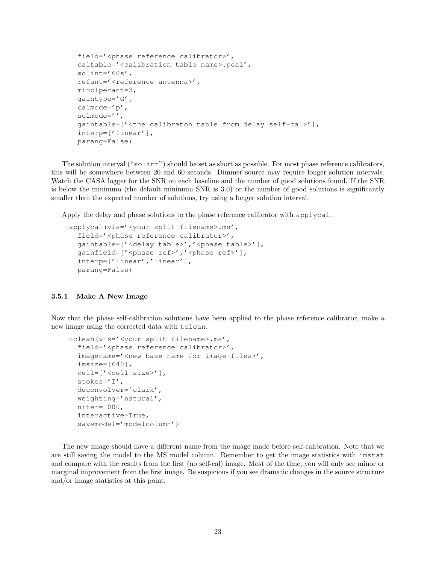```
field='<phase reference calibrator>',
caltable='<calibration table name>.pcal',
solint='60s',
refant='<reference antenna>',
minblperant=3,
gaintype='G',
calmode='p',
solmode='',
gaintable=['<the calibraton table from delay self-cal>'],
interp=['linear'],
parang=False)
```
The solution interval ("solint") should be set as short as possible. For most phase reference calibrators, this will be somewhere between 20 and 60 seconds. Dimmer source may require longer solution intervals. Watch the CASA logger for the SNR on each baseline and the number of good solutions found. If the SNR is below the minimum (the default minimum SNR is 3.0) or the number of good solutions is significantly smaller than the expected number of solutions, try using a longer solution interval.

Apply the delay and phase solutions to the phase reference calibrator with applycal.

```
applycal(vis='<your split filename>.ms',
 field='<phase reference calibrator>',
 gaintable=['<delay table>','<phase table>'],
 gainfield=['<phase ref>','<phase ref>'],
  interp=['linear','linear'],
 parang=False)
```
#### <span id="page-22-0"></span>3.5.1 Make A New Image

Now that the phase self-calibration solutions have been applied to the phase reference calibrator, make a new image using the corrected data with tclean.

```
tclean(vis='<your split filename>.ms',
  field='<phase reference calibrator>',
  imagename='<new base name for image files>',
  imsize=[640],
  cell=['<cell size>'],
  stokes='I',
  deconvolver='clark',
  weighting='natural',
  niter=1000,
  interactive=True,
  savemodel='modelcolumn')
```
The new image should have a different name from the image made before self-calibration. Note that we are still saving the model to the MS model column. Remember to get the image statistics with imstat and compare with the results from the first (no self-cal) image. Most of the time, you will only see minor or marginal improvement from the first image. Be suspicious if you see dramatic changes in the source structure and/or image statistics at this point.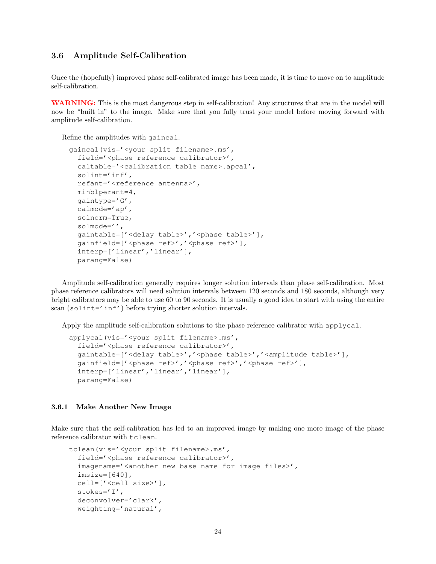### <span id="page-23-0"></span>3.6 Amplitude Self-Calibration

Once the (hopefully) improved phase self-calibrated image has been made, it is time to move on to amplitude self-calibration.

WARNING: This is the most dangerous step in self-calibration! Any structures that are in the model will now be "built in" to the image. Make sure that you fully trust your model before moving forward with amplitude self-calibration.

Refine the amplitudes with gaincal.

```
gaincal(vis='<your split filename>.ms',
  field='<phase reference calibrator>',
  caltable='<calibration table name>.apcal',
  solint='inf',
  refant='<reference antenna>',
 minblperant=4,
  gaintype='G',
  calmode='ap',
  solnorm=True,
  solmode='',
  gaintable=['<delay table>','<phase table>'],
  gainfield=['<phase ref>','<phase ref>'],
  interp=['linear','linear'],
  parang=False)
```
Amplitude self-calibration generally requires longer solution intervals than phase self-calibration. Most phase reference calibrators will need solution intervals between 120 seconds and 180 seconds, although very bright calibrators may be able to use 60 to 90 seconds. It is usually a good idea to start with using the entire scan (solint='inf') before trying shorter solution intervals.

Apply the amplitude self-calibration solutions to the phase reference calibrator with applycal.

```
applycal(vis='<your split filename>.ms',
  field='<phase reference calibrator>',
 gaintable=['<delay table>','<phase table>','<amplitude table>'],
 gainfield=['<phase ref>','<phase ref>','<phase ref>'],
  interp=['linear','linear','linear'],
 parang=False)
```
#### <span id="page-23-1"></span>3.6.1 Make Another New Image

Make sure that the self-calibration has led to an improved image by making one more image of the phase reference calibrator with tclean.

```
tclean(vis='<your split filename>.ms',
  field='<phase reference calibrator>',
  imagename='<another new base name for image files>',
  imsize=[640],
  cell=['<cell size>'],
  stokes='I',
  deconvolver='clark',
  weighting='natural',
```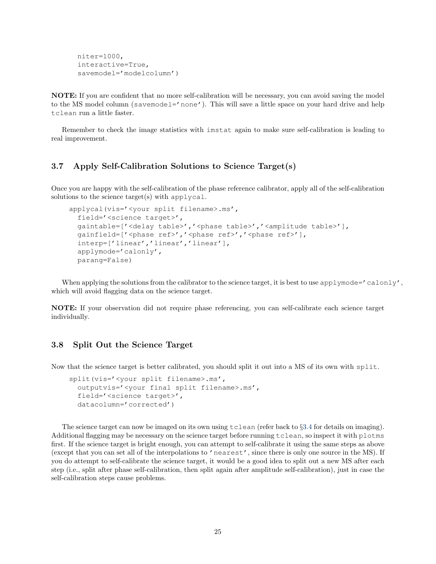```
niter=1000,
interactive=True,
savemodel='modelcolumn')
```
NOTE: If you are confident that no more self-calibration will be necessary, you can avoid saving the model to the MS model column (savemodel='none'). This will save a little space on your hard drive and help tclean run a little faster.

Remember to check the image statistics with imstat again to make sure self-calibration is leading to real improvement.

### <span id="page-24-0"></span>3.7 Apply Self-Calibration Solutions to Science Target(s)

Once you are happy with the self-calibration of the phase reference calibrator, apply all of the self-calibration solutions to the science target(s) with applycal.

```
applycal(vis='<your split filename>.ms',
  field='<science target>',
  gaintable=['<delay table>','<phase table>','<amplitude table>'],
  gainfield=['<phase ref>','<phase ref>','<phase ref>'],
  interp=['linear','linear','linear'],
  applymode='calonly',
  parang=False)
```
When applying the solutions from the calibrator to the science target, it is best to use applymode='calonly', which will avoid flagging data on the science target.

NOTE: If your observation did not require phase referencing, you can self-calibrate each science target individually.

## 3.8 Split Out the Science Target

Now that the science target is better calibrated, you should split it out into a MS of its own with split.

```
split(vis='<your split filename>.ms',
 outputvis='<your final split filename>.ms',
  field='<science target>',
  datacolumn='corrected')
```
The science target can now be imaged on its own using tclean (refer back to §[3.4](#page-20-0) for details on imaging). Additional flagging may be necessary on the science target before running tclean, so inspect it with plotms first. If the science target is bright enough, you can attempt to self-calibrate it using the same steps as above (except that you can set all of the interpolations to 'nearest', since there is only one source in the MS). If you do attempt to self-calibrate the science target, it would be a good idea to split out a new MS after each step (i.e., split after phase self-calibration, then split again after amplitude self-calibration), just in case the self-calibration steps cause problems.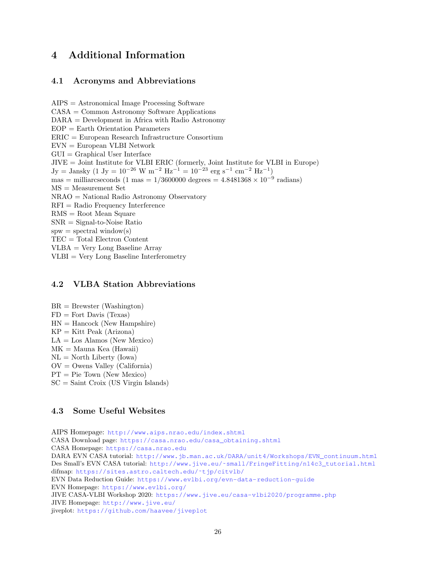## 4 Additional Information

#### 4.1 Acronyms and Abbreviations

AIPS = Astronomical Image Processing Software CASA = Common Astronomy Software Applications DARA = Development in Africa with Radio Astronomy  $EOP =$  Earth Orientation Parameters ERIC = European Research Infrastructure Consortium  $EVN = European VLBI Network$  $GUI = Graphical User Interface$ JIVE = Joint Institute for VLBI ERIC (formerly, Joint Institute for VLBI in Europe)  $Jy = Jansky (1 Jy = 10^{-26} W m^{-2} Hz^{-1} = 10^{-23} erg s^{-1} cm^{-2} Hz^{-1})$  $\text{mas} = \text{milliarcseconds} \ (1 \text{ mas} = 1/3600000 \ \text{degrees} = 4.8481368 \times 10^{-9} \ \text{radians})$ MS = Measurement Set NRAO = National Radio Astronomy Observatory RFI = Radio Frequency Interference RMS = Root Mean Square SNR = Signal-to-Noise Ratio  $spw = spectral$  window(s) TEC = Total Electron Content VLBA = Very Long Baseline Array VLBI = Very Long Baseline Interferometry

### 4.2 VLBA Station Abbreviations

- $BR = Brewster$  (Washington)
- $FD = Fort$  Davis (Texas)
- $HN = Hancock$  (New Hampshire)
- $KP = Kitt$  Peak (Arizona)
- $LA = Loss$  Alamos (New Mexico)
- MK = Mauna Kea (Hawaii)
- $NL = North Library (Iowa)$
- $OV =$  Owens Valley (California)
- PT = Pie Town (New Mexico)
- $SC = Saint Croix (US Virgin Islands)$

## 4.3 Some Useful Websites

AIPS Homepage: <http://www.aips.nrao.edu/index.shtml> CASA Download page: [https://casa.nrao.edu/casa\\_obtaining.shtml](https://casa.nrao.edu/casa_obtaining.shtml) CASA Homepage: <https://casa.nrao.edu> DARA EVN CASA tutorial: [http://www.jb.man.ac.uk/DARA/unit4/Workshops/EVN\\_continuum.html](http://www.jb.man.ac.uk/DARA/unit4/Workshops/EVN_continuum.html) Des Small's EVN CASA tutorial: [http://www.jive.eu/˜small/FringeFitting/n14c3\\_tutorial.html](http://www.jive.eu/~small/FringeFitting/n14c3_tutorial.html) difmap: https://sites.astro.caltech.edu/~tjp/citvlb/ EVN Data Reduction Guide: <https://www.evlbi.org/evn-data-reduction-guide> EVN Homepage: <https://www.evlbi.org/> JIVE CASA-VLBI Workshop 2020: <https://www.jive.eu/casa-vlbi2020/programme.php> JIVE Homepage: <http://www.jive.eu/> jiveplot: <https://github.com/haavee/jiveplot>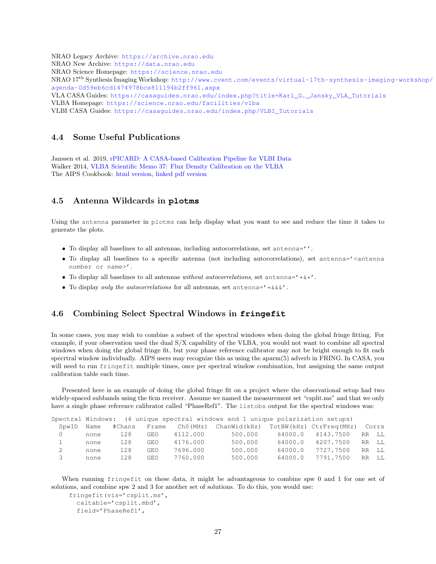NRAO Legacy Archive: <https://archive.nrao.edu> NRAO New Archive: <https://data.nrao.edu> NRAO Science Homepage: <https://science.nrao.edu> NRAO 17th Synthesis Imaging Workshop: [http://www.cvent.com/events/virtual-17th-synthesis-imagi](http://www.cvent.com/events/virtual-17th-synthesis-imaging-workshop/agenda-0d59eb6cd1474978bce811194b2ff961.aspx)ng-workshop/ [agenda-0d59eb6cd1474978bce811194b2ff961.aspx](http://www.cvent.com/events/virtual-17th-synthesis-imaging-workshop/agenda-0d59eb6cd1474978bce811194b2ff961.aspx) VLA CASA Guides: [https://casaguides.nrao.edu/index.php?title=Karl\\_G.\\_Jansky\\_VLA\\_Tutorials](https://casaguides.nrao.edu/index.php?title=Karl_G._Jansky_VLA_Tutorials) VLBA Homepage: <https://science.nrao.edu/facilities/vlba> VLBI CASA Guides: [https://casaguides.nrao.edu/index.php/VLBI\\_Tutorials](https://casaguides.nrao.edu/index.php/VLBI_Tutorials)

## 4.4 Some Useful Publications

Janssen et al. 2019, [rPICARD: A CASA-based Calibration Pipeline for VLBI Data](https://arxiv.org/pdf/1902.01749.pdf) Walker 2014, [VLBA Scientific Memo 37: Flux Density Calibration on the VLBA](https://library.nrao.edu/public/memos/vlba/sci/VLBAS_37.pdf) The AIPS Cookbook: [html version,](http://www.aips.nrao.edu/cook.html) [linked pdf version](ftp://ftp.aoc.nrao.edu/pub/software/aips/TEXT/PUBL/COOKBOOK.PDF)

#### 4.5 Antenna Wildcards in **plotms**

Using the antenna parameter in plotms can help display what you want to see and reduce the time it takes to generate the plots.

- To display all baselines to all antennas, including autocorrelations, set antenna=''.
- To display all baselines to a specific antenna (not including autocorrelations), set antenna='<antenna number or name>'.
- To display all baselines to all antennas without autocorrelations, set antenna=' $*\&*'.$
- To display only the autocorrelations for all antennas, set antennas<sup>-</sup>  $\star \&&\&'$ .

## <span id="page-26-0"></span>4.6 Combining Select Spectral Windows in **fringefit**

In some cases, you may wish to combine a subset of the spectral windows when doing the global fringe fitting. For example, if your observation used the dual S/X capability of the VLBA, you would not want to combine all spectral windows when doing the global fringe fit, but your phase reference calibrator may not be bright enough to fit each specrtral window individually. AIPS users may recognize this as using the aparm(5) adverb in FRING. In CASA, you will need to run fringefit multiple times, once per spectral window combination, but assigning the same output calibration table each time.

Presented here is an example of doing the global fringe fit on a project where the observational setup had two widely-spaced subbands using the 6cm receiver. Assume we named the measurement set "csplit.ms" and that we only have a single phase reference calibrator called "PhaseRef1". The listobs output for the spectral windows was:

|       | Spectral Windows: (4 unique spectral windows and 1 unique polarization setups) |        |            |          |                                      |         |           |       |  |
|-------|--------------------------------------------------------------------------------|--------|------------|----------|--------------------------------------|---------|-----------|-------|--|
| SpwID | Name                                                                           | #Chans | Frame      | Ch0(MHz) | ChanWid(kHz) TotBW(kHz) CtrFreq(MHz) |         |           | Corrs |  |
|       | none                                                                           | 128    | <b>GEO</b> | 4112.000 | 500.000                              | 64000.0 | 4143.7500 | RR LL |  |
|       | none                                                                           | 128    | GEO        | 4176.000 | 500.000                              | 64000.0 | 4207.7500 | RR LL |  |
|       | none                                                                           | 128    | <b>GEO</b> | 7696.000 | 500.000                              | 64000.0 | 7727.7500 | RR LL |  |
| २     | none                                                                           | 128    | <b>GEO</b> | 7760.000 | 500.000                              | 64000.0 | 7791.7500 | RR LL |  |

When running fringefit on these data, it might be advantageous to combine spw 0 and 1 for one set of solutions, and combine spw 2 and 3 for another set of solutions. To do this, you would use:

```
fringefit(vis='csplit.ms',
  caltable='csplit.mbd',
  field='PhaseRef1',
```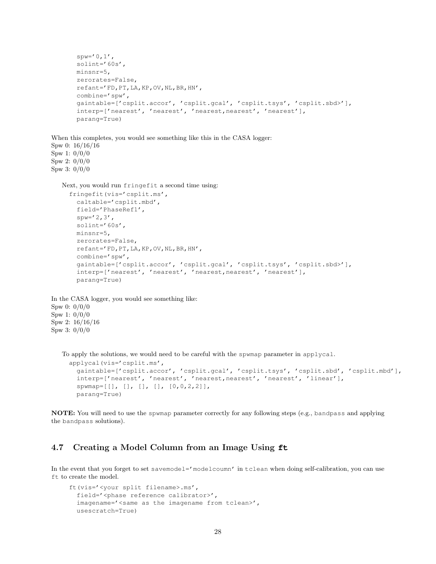```
spw='0,1',
       solint='60s',
      minsnr=5,
      zerorates=False,
      refant='FD,PT,LA,KP,OV,NL,BR,HN',
      combine='spw',
       gaintable=['csplit.accor', 'csplit.gcal', 'csplit.tsys', 'csplit.sbd>'],
       interp=['nearest', 'nearest', 'nearest,nearest', 'nearest'],
      parang=True)
When this completes, you would see something like this in the CASA logger:
Spw 0: 16/16/16
Spw 1: 0/0/0
Spw 2: 0/0/0
Spw 3: 0/0/0
  Next, you would run fringefit a second time using:
     fringefit(vis='csplit.ms',
      caltable='csplit.mbd',
      field='PhaseRef1',
      spw='2,3',
      solint='60s',
      minsnr=5,
      zerorates=False,
      refant='FD,PT,LA,KP,OV,NL,BR,HN',
      combine='spw',
      gaintable=['csplit.accor', 'csplit.gcal', 'csplit.tsys', 'csplit.sbd>'],
      interp=['nearest', 'nearest', 'nearest,nearest', 'nearest'],
      parang=True)
In the CASA logger, you would see something like:
```

```
Spw 0: 0/0/0
Spw 1: 0/0/0
Spw 2: 16/16/16
Spw 3: 0/0/0
```
To apply the solutions, we would need to be careful with the spwmap parameter in applycal.

```
applycal(vis='csplit.ms',
 gaintable=['csplit.accor', 'csplit.gcal', 'csplit.tsys', 'csplit.sbd', 'csplit.mbd'],
  interp=['nearest', 'nearest', 'nearest,nearest', 'nearest', 'linear'],
  spwmap=[[], [], [], [], [0,0,2,2]],
 parang=True)
```
NOTE: You will need to use the spwmap parameter correctly for any following steps (e.g., bandpass and applying the bandpass solutions).

## <span id="page-27-0"></span>4.7 Creating a Model Column from an Image Using **ft**

In the event that you forget to set savemodel='modelcoumn' in tclean when doing self-calibration, you can use ft to create the model.

```
ft(vis='<your split filename>.ms',
  field='<phase reference calibrator>',
  imagename='<same as the imagename from tclean>',
 usescratch=True)
```